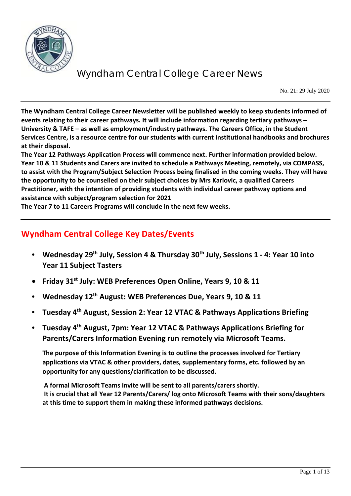

No. 21: 29 July 2020

**The Wyndham Central College Career Newsletter will be published weekly to keep students informed of events relating to their career pathways. It will include information regarding tertiary pathways – University & TAFE – as well as employment/industry pathways. The Careers Office, in the Student Services Centre, is a resource centre for our students with current institutional handbooks and brochures at their disposal.** 

**The Year 12 Pathways Application Process will commence next. Further information provided below. Year 10 & 11 Students and Carers are invited to schedule a Pathways Meeting, remotely, via COMPASS, to assist with the Program/Subject Selection Process being finalised in the coming weeks. They will have the opportunity to be counselled on their subject choices by Mrs Karlovic, a qualified Careers Practitioner, with the intention of providing students with individual career pathway options and assistance with subject/program selection for 2021**

**The Year 7 to 11 Careers Programs will conclude in the next few weeks.**

### **Wyndham Central College Key Dates/Events**

- **Wednesday 29th July, Session 4 & Thursday 30th July, Sessions 1 - 4: Year 10 into Year 11 Subject Tasters**
- **Friday 31st July: WEB Preferences Open Online, Years 9, 10 & 11**
- **Wednesday 12th August: WEB Preferences Due, Years 9, 10 & 11**
- **Tuesday 4th August, Session 2: Year 12 VTAC & Pathways Applications Briefing**
- **Tuesday 4th August, 7pm: Year 12 VTAC & Pathways Applications Briefing for Parents/Carers Information Evening run remotely via Microsoft Teams.**

**The purpose of this Information Evening is to outline the processes involved for Tertiary applications via VTAC & other providers, dates, supplementary forms, etc. followed by an opportunity for any questions/clarification to be discussed.**

**A formal Microsoft Teams invite will be sent to all parents/carers shortly. It is crucial that all Year 12 Parents/Carers/ log onto Microsoft Teams with their sons/daughters at this time to support them in making these informed pathways decisions.**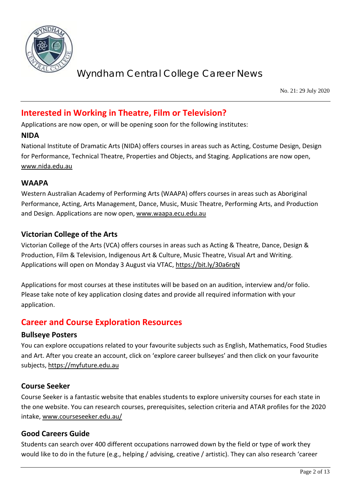

No. 21: 29 July 2020

### **Interested in Working in Theatre, Film or Television?**

Applications are now open, or will be opening soon for the following institutes:

#### **NIDA**

National Institute of Dramatic Arts (NIDA) offers courses in areas such as Acting, Costume Design, Design for Performance, Technical Theatre, Properties and Objects, and Staging. Applications are now open, [www.nida.edu.au](http://www.nida.edu.au/)

### **WAAPA**

Western Australian Academy of Performing Arts (WAAPA) offers courses in areas such as Aboriginal Performance, Acting, Arts Management, Dance, Music, Music Theatre, Performing Arts, and Production and Design. Applications are now open, [www.waapa.ecu.edu.au](http://www.waapa.ecu.edu.au/)

### **Victorian College of the Arts**

Victorian College of the Arts (VCA) offers courses in areas such as Acting & Theatre, Dance, Design & Production, Film & Television, Indigenous Art & Culture, Music Theatre, Visual Art and Writing. Applications will open on Monday 3 August via VTAC,<https://bit.ly/30a6rqN>

Applications for most courses at these institutes will be based on an audition, interview and/or folio. Please take note of key application closing dates and provide all required information with your application.

### **Career and Course Exploration Resources**

### **Bullseye Posters**

You can explore occupations related to your favourite subjects such as English, Mathematics, Food Studies and Art. After you create an account, click on 'explore career bullseyes' and then click on your favourite subjects, [https://myfuture.edu.au](https://myfuture.edu.au/)

### **Course Seeker**

Course Seeker is a fantastic website that enables students to explore university courses for each state in the one website. You can research courses, prerequisites, selection criteria and ATAR profiles for the 2020 intake, [www.courseseeker.edu.au/](http://www.courseseeker.edu.au/)

### **Good Careers Guide**

Students can search over 400 different occupations narrowed down by the field or type of work they would like to do in the future (e.g., helping / advising, creative / artistic). They can also research 'career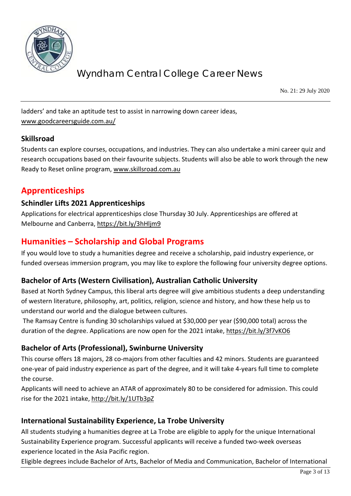

No. 21: 29 July 2020

ladders' and take an aptitude test to assist in narrowing down career ideas, [www.goodcareersguide.com.au/](http://www.goodcareersguide.com.au/)

### **Skillsroad**

Students can explore courses, occupations, and industries. They can also undertake a mini career quiz and research occupations based on their favourite subjects. Students will also be able to work through the new Ready to Reset online program, [www.skillsroad.com.au](http://www.skillsroad.com.au/)

## **Apprenticeships**

### **Schindler Lifts 2021 Apprenticeships**

Applications for electrical apprenticeships close Thursday 30 July. Apprenticeships are offered at Melbourne and Canberra,<https://bit.ly/3hHljm9>

### **Humanities – Scholarship and Global Programs**

If you would love to study a humanities degree and receive a scholarship, paid industry experience, or funded overseas immersion program, you may like to explore the following four university degree options.

### **Bachelor of Arts (Western Civilisation), Australian Catholic University**

Based at North Sydney Campus, this liberal arts degree will give ambitious students a deep understanding of western literature, philosophy, art, politics, religion, science and history, and how these help us to understand our world and the dialogue between cultures.

The Ramsay Centre is funding 30 scholarships valued at \$30,000 per year (\$90,000 total) across the duration of the degree. Applications are now open for the 2021 intake,<https://bit.ly/3f7vKO6>

### **Bachelor of Arts (Professional), Swinburne University**

This course offers 18 majors, 28 co-majors from other faculties and 42 minors. Students are guaranteed one-year of paid industry experience as part of the degree, and it will take 4-years full time to complete the course.

Applicants will need to achieve an ATAR of approximately 80 to be considered for admission. This could rise for the 2021 intake,<http://bit.ly/1UTb3pZ>

### **International Sustainability Experience, La Trobe University**

All students studying a humanities degree at La Trobe are eligible to apply for the unique International Sustainability Experience program. Successful applicants will receive a funded two-week overseas experience located in the Asia Pacific region.

Eligible degrees include Bachelor of Arts, Bachelor of Media and Communication, Bachelor of International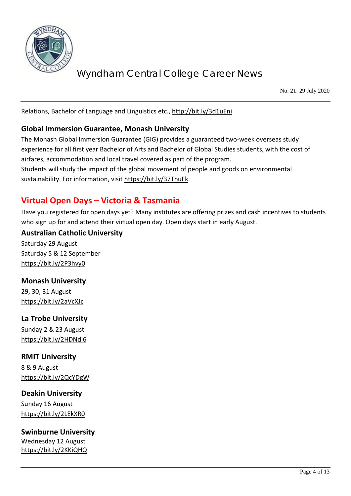

No. 21: 29 July 2020

Relations, Bachelor of Language and Linguistics etc.,<http://bit.ly/3d1uEni>

### **Global Immersion Guarantee, Monash University**

The Monash Global Immersion Guarantee (GIG) provides a guaranteed two-week overseas study experience for all first year Bachelor of Arts and Bachelor of Global Studies students, with the cost of airfares, accommodation and local travel covered as part of the program. Students will study the impact of the global movement of people and goods on environmental sustainability. For information, visit<https://bit.ly/37ThuFk>

## **Virtual Open Days – Victoria & Tasmania**

Have you registered for open days yet? Many institutes are offering prizes and cash incentives to students who sign up for and attend their virtual open day. Open days start in early August.

### **Australian Catholic University**

Saturday 29 August Saturday 5 & 12 September <https://bit.ly/2P3hvy0>

### **Monash University**

29, 30, 31 August <https://bit.ly/2aVcXJc>

### **La Trobe University**

Sunday 2 & 23 August <https://bit.ly/2HDNdi6>

### **RMIT University**

8 & 9 August <https://bit.ly/2QcYDgW>

## **Deakin University**

Sunday 16 August <https://bit.ly/2LEkXR0>

### **Swinburne University**

Wednesday 12 August <https://bit.ly/2KKiQHQ>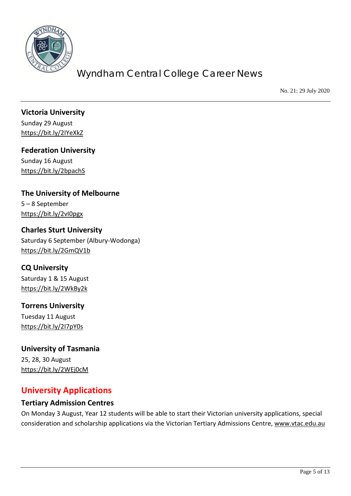

No. 21: 29 July 2020

**Victoria University** Sunday 29 August <https://bit.ly/2IYeXkZ>

**Federation University** Sunday 16 August

<https://bit.ly/2bpachS>

**The University of Melbourne** 5 – 8 September

<https://bit.ly/2vI0pgx>

**Charles Sturt University** Saturday 6 September (Albury-Wodonga) <https://bit.ly/2GmQV1b>

**CQ University**

Saturday 1 & 15 August <https://bit.ly/2WkBy2k>

**Torrens University** Tuesday 11 August <https://bit.ly/2I7pY0s>

**University of Tasmania** 25, 28, 30 August <https://bit.ly/2WEj0cM>

## **University Applications**

### **Tertiary Admission Centres**

On Monday 3 August, Year 12 students will be able to start their Victorian university applications, special consideration and scholarship applications via the Victorian Tertiary Admissions Centre, [www.vtac.edu.au](http://www.vtac.edu.au/)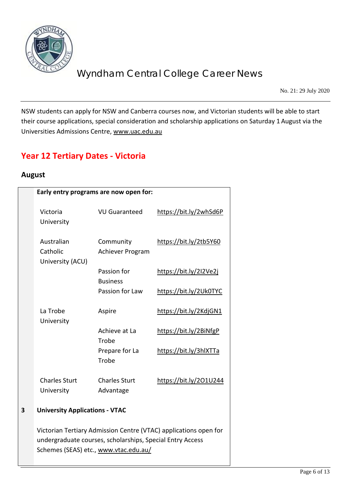

No. 21: 29 July 2020

NSW students can apply for NSW and Canberra courses now, and Victorian students will be able to start their course applications, special consideration and scholarship applications on Saturday 1 August via the Universities Admissions Centre, [www.uac.edu.au](http://www.uac.edu.au/)

## **Year 12 Tertiary Dates - Victoria**

### **August**

|                                                                                                                               | Early entry programs are now open for: |                        |
|-------------------------------------------------------------------------------------------------------------------------------|----------------------------------------|------------------------|
| Victoria<br>University                                                                                                        | <b>VU Guaranteed</b>                   | https://bit.ly/2whSd6P |
| Australian<br>Catholic<br>University (ACU)                                                                                    | Community<br>Achiever Program          | https://bit.ly/2tb5Y60 |
|                                                                                                                               | Passion for<br><b>Business</b>         | https://bit.ly/2I2Ve2j |
|                                                                                                                               | Passion for Law                        | https://bit.ly/2Uk0TYC |
| La Trobe<br>University                                                                                                        | Aspire                                 | https://bit.ly/2KdjGN1 |
|                                                                                                                               | Achieve at La<br>Trobe                 | https://bit.ly/2BiNfgP |
|                                                                                                                               | Prepare for La<br>Trobe                | https://bit.ly/3hlXTTa |
| <b>Charles Sturt</b>                                                                                                          | <b>Charles Sturt</b>                   | https://bit.ly/201U244 |
| University                                                                                                                    | Advantage                              |                        |
| <b>University Applications - VTAC</b>                                                                                         |                                        |                        |
| Victorian Tertiary Admission Centre (VTAC) applications open for<br>undergraduate courses, scholarships, Special Entry Access |                                        |                        |
| Schemes (SEAS) etc., www.vtac.edu.au/                                                                                         |                                        |                        |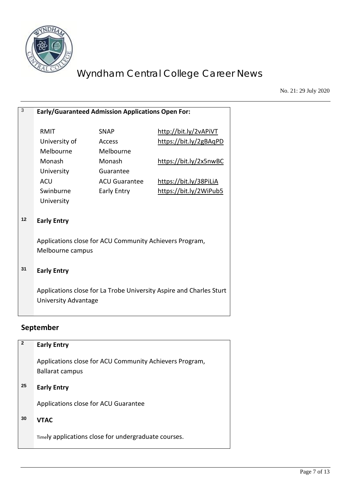

No. 21: 29 July 2020

| 3  | Early/Guaranteed Admission Applications Open For:                   |                      |                        |
|----|---------------------------------------------------------------------|----------------------|------------------------|
|    |                                                                     |                      |                        |
|    | RMIT                                                                | <b>SNAP</b>          | http://bit.ly/2vAPiVT  |
|    | University of                                                       | Access               | https://bit.ly/2gBAqPD |
|    | Melbourne                                                           | Melbourne            |                        |
|    | Monash                                                              | Monash               | https://bit.ly/2x5nwBC |
|    | University                                                          | Guarantee            |                        |
|    | <b>ACU</b>                                                          | <b>ACU Guarantee</b> | https://bit.ly/38PiLiA |
|    | Swinburne                                                           | Early Entry          | https://bit.ly/2WiPub5 |
|    | University                                                          |                      |                        |
|    |                                                                     |                      |                        |
| 12 | <b>Early Entry</b>                                                  |                      |                        |
|    |                                                                     |                      |                        |
|    | Applications close for ACU Community Achievers Program,             |                      |                        |
|    | Melbourne campus                                                    |                      |                        |
|    |                                                                     |                      |                        |
| 31 | <b>Early Entry</b>                                                  |                      |                        |
|    |                                                                     |                      |                        |
|    | Applications close for La Trobe University Aspire and Charles Sturt |                      |                        |
|    | University Advantage                                                |                      |                        |
|    |                                                                     |                      |                        |

## **September**

| $\overline{2}$ | <b>Early Entry</b>                                                                |
|----------------|-----------------------------------------------------------------------------------|
|                | Applications close for ACU Community Achievers Program,<br><b>Ballarat campus</b> |
| 25             | <b>Early Entry</b>                                                                |
|                | Applications close for ACU Guarantee                                              |
| 30             | <b>VTAC</b>                                                                       |
|                | Timely applications close for undergraduate courses.                              |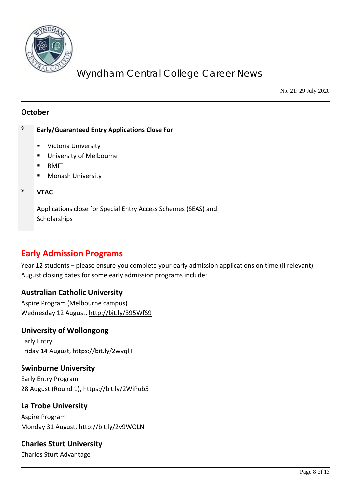

No. 21: 29 July 2020

### **October**

| 9 | <b>Early/Guaranteed Entry Applications Close For</b>                           |  |
|---|--------------------------------------------------------------------------------|--|
|   | Victoria University<br>п                                                       |  |
|   | University of Melbourne<br>п<br>RMIT                                           |  |
|   | <b>Monash University</b><br>п                                                  |  |
| 9 | <b>VTAC</b>                                                                    |  |
|   | Applications close for Special Entry Access Schemes (SEAS) and<br>Scholarships |  |

### **Early Admission Programs**

Year 12 students – please ensure you complete your early admission applications on time (if relevant). August closing dates for some early admission programs include:

### **Australian Catholic University**

Aspire Program (Melbourne campus) Wednesday 12 August[, http://bit.ly/395WfS9](http://bit.ly/395WfS9)

### **University of Wollongong**

Early Entry Friday 14 August,<https://bit.ly/2wvqljF>

### **Swinburne University**

Early Entry Program 28 August (Round 1),<https://bit.ly/2WiPub5>

### **La Trobe University**

Aspire Program Monday 31 August[, http://bit.ly/2v9WOLN](http://bit.ly/2v9WOLN)

### **Charles Sturt University**

Charles Sturt Advantage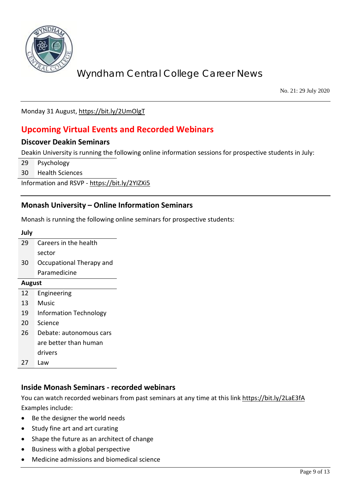

No. 21: 29 July 2020

Monday 31 August[, https://bit.ly/2UmOlgT](https://bit.ly/2UmOlgT)

## **Upcoming Virtual Events and Recorded Webinars**

### **Discover Deakin Seminars**

Deakin University is running the following online information sessions for prospective students in July:

29 Psychology

30 Health Sciences

Information and RSVP - <https://bit.ly/2YIZXi5>

### **Monash University – Online Information Seminars**

Monash is running the following online seminars for prospective students:

#### **July**

| 29 | Careers in the health    |
|----|--------------------------|
|    | sector                   |
| 30 | Occupational Therapy and |
|    | Paramedicine             |

#### **August**

- 12 Engineering
- 13 Music
- 19 Information Technology
- 20 Science
- 26 Debate: autonomous cars are better than human drivers 27 Law
- 

### **Inside Monash Seminars - recorded webinars**

You can watch recorded webinars from past seminars at any time at this link<https://bit.ly/2LaE3fA> Examples include:

- Be the designer the world needs
- Study fine art and art curating
- Shape the future as an architect of change
- Business with a global perspective
- Medicine admissions and biomedical science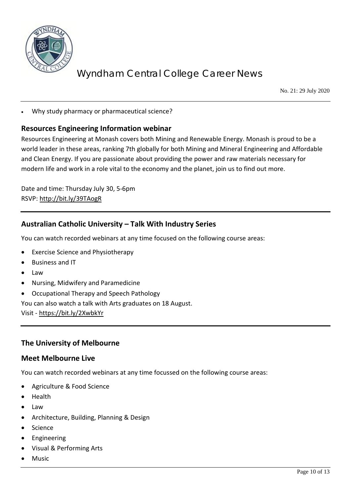

No. 21: 29 July 2020

• Why study pharmacy or pharmaceutical science?

### **Resources Engineering Information webinar**

Resources Engineering at Monash covers both Mining and Renewable Energy. Monash is proud to be a world leader in these areas, ranking 7th globally for both Mining and Mineral Engineering and Affordable and Clean Energy. If you are passionate about providing the power and raw materials necessary for modern life and work in a role vital to the economy and the planet, join us to find out more.

Date and time: Thursday July 30, 5-6pm RSVP:<http://bit.ly/39TAogR>

### **Australian Catholic University – Talk With Industry Series**

You can watch recorded webinars at any time focused on the following course areas:

- Exercise Science and Physiotherapy
- Business and IT
- Law
- Nursing, Midwifery and Paramedicine
- Occupational Therapy and Speech Pathology

You can also watch a talk with Arts graduates on 18 August.

Visit - <https://bit.ly/2XwbkYr>

### **The University of Melbourne**

#### **Meet Melbourne Live**

You can watch recorded webinars at any time focussed on the following course areas:

- Agriculture & Food Science
- Health
- Law
- Architecture, Building, Planning & Design
- **Science**
- **Engineering**
- Visual & Performing Arts
- **Music**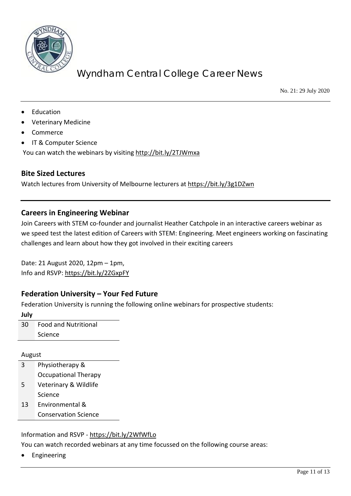

No. 21: 29 July 2020

- **Education**
- Veterinary Medicine
- Commerce
- IT & Computer Science

You can watch the webinars by visiting<http://bit.ly/2TJWmxa>

#### **Bite Sized Lectures**

Watch lectures from University of Melbourne lecturers at<https://bit.ly/3g1DZwn>

### **Careers in Engineering Webinar**

Join Careers with STEM co-founder and journalist Heather Catchpole in an interactive careers webinar as we speed test the latest edition of Careers with STEM: Engineering. Meet engineers working on fascinating challenges and learn about how they got involved in their exciting careers

Date: 21 August 2020, 12pm – 1pm, Info and RSVP:<https://bit.ly/2ZGxpFY>

### **Federation University – Your Fed Future**

Federation University is running the following online webinars for prospective students:

**July**

30 Food and Nutritional Science

#### August

- 3 Physiotherapy & Occupational Therapy
- 5 Veterinary & Wildlife Science
- 13 Environmental & Conservation Science

#### Information and RSVP - <https://bit.ly/2WfWfLo>

You can watch recorded webinars at any time focussed on the following course areas:

**Engineering**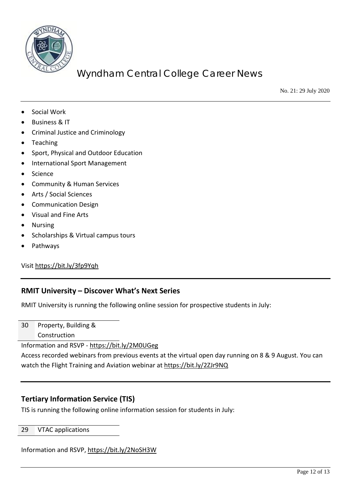

No. 21: 29 July 2020

- Social Work
- Business & IT
- Criminal Justice and Criminology
- **Teaching**
- Sport, Physical and Outdoor Education
- International Sport Management
- Science
- Community & Human Services
- Arts / Social Sciences
- Communication Design
- Visual and Fine Arts
- Nursing
- Scholarships & Virtual campus tours
- Pathways

Visi[t https://bit.ly/3fp9Yqh](https://bit.ly/3fp9Yqh)

#### **RMIT University – Discover What's Next Series**

RMIT University is running the following online session for prospective students in July:

30 Property, Building & Construction

Information and RSVP - <https://bit.ly/2M0UGeg>

Access recorded webinars from previous events at the virtual open day running on 8 & 9 August. You can watch the Flight Training and Aviation webinar at<https://bit.ly/2ZJr9NQ>

### **Tertiary Information Service (TIS)**

TIS is running the following online information session for students in July:

#### 29 VTAC applications

Information and RSVP,<https://bit.ly/2NoSH3W>